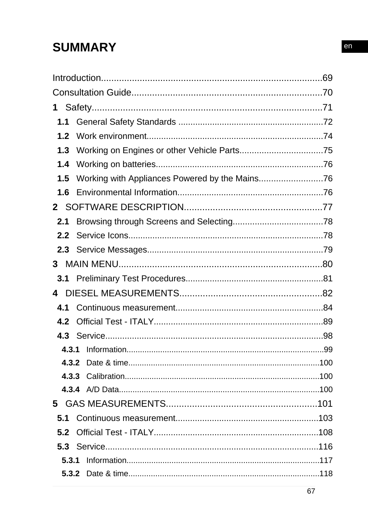# **SUMMARY**

| 1                |  |
|------------------|--|
| 1.1              |  |
| 1.2 <sub>2</sub> |  |
| 1.3              |  |
| 1.4              |  |
| 1.5              |  |
| 1.6              |  |
| $\mathbf{2}^-$   |  |
| 2.1              |  |
| 2.2              |  |
|                  |  |
| 3                |  |
|                  |  |
| 4                |  |
| 4.1              |  |
| 4.2              |  |
|                  |  |
|                  |  |
|                  |  |
|                  |  |
|                  |  |
|                  |  |
|                  |  |
|                  |  |
|                  |  |
| 5.3.1            |  |
|                  |  |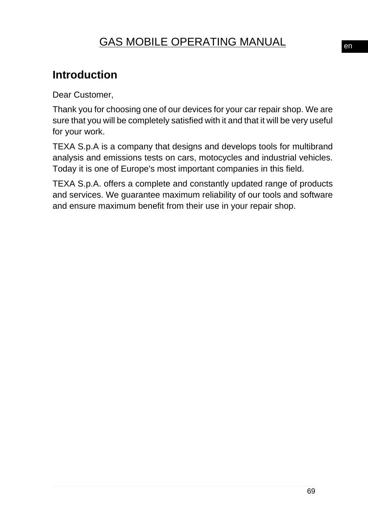# GAS MOBILE OPERATING MANUAL

# **Introduction**

Dear Customer,

Thank you for choosing one of our devices for your car repair shop. We are sure that you will be completely satisfied with it and that it will be very useful for your work.

TEXA S.p.A is a company that designs and develops tools for multibrand analysis and emissions tests on cars, motocycles and industrial vehicles. Today it is one of Europe's most important companies in this field.

TEXA S.p.A. offers a complete and constantly updated range of products and services. We guarantee maximum reliability of our tools and software and ensure maximum benefit from their use in your repair shop.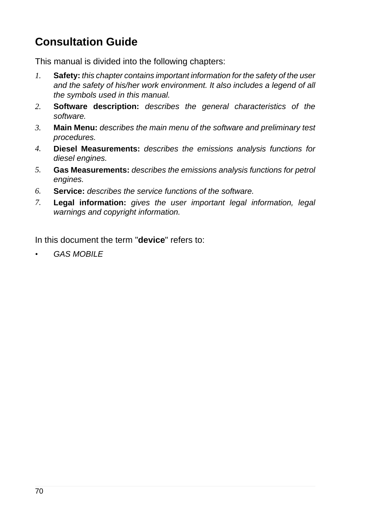# **Consultation Guide**

This manual is divided into the following chapters:

- *1.* **Safety:** *this chapter contains important information for the safety of the user and the safety of his/her work environment. It also includes a legend of all the symbols used in this manual.*
- *2.* **Software description:** *describes the general characteristics of the software.*
- *3.* **Main Menu:** *describes the main menu of the software and preliminary test procedures.*
- *4.* **Diesel Measurements:** *describes the emissions analysis functions for diesel engines.*
- *5.* **Gas Measurements:** *describes the emissions analysis functions for petrol engines.*
- *6.* **Service:** *describes the service functions of the software.*
- *7.* **Legal information:** *gives the user important legal information, legal warnings and copyright information.*

In this document the term "**device**" refers to:

*• GAS MOBILE*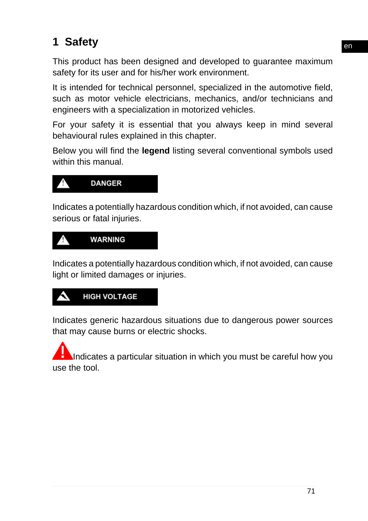# **1 Safety**

This product has been designed and developed to guarantee maximum safety for its user and for his/her work environment.

It is intended for technical personnel, specialized in the automotive field, such as motor vehicle electricians, mechanics, and/or technicians and engineers with a specialization in motorized vehicles.

For your safety it is essential that you always keep in mind several behavioural rules explained in this chapter.

Below you will find the **legend** listing several conventional symbols used within this manual.



Indicates a potentially hazardous condition which, if not avoided, can cause serious or fatal injuries.



Indicates a potentially hazardous condition which, if not avoided, can cause light or limited damages or injuries.

# **HIGH VOLTAGE**

Indicates generic hazardous situations due to dangerous power sources that may cause burns or electric shocks.

Indicates a particular situation in which you must be careful how you use the tool.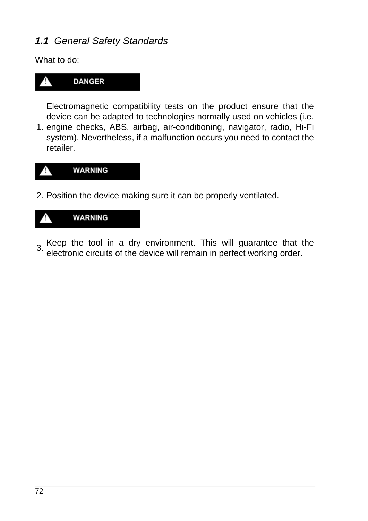# *1.1 General Safety Standards*

What to do:



Electromagnetic compatibility tests on the product ensure that the device can be adapted to technologies normally used on vehicles (i.e.

1. engine checks, ABS, airbag, air-conditioning, navigator, radio, Hi-Fi system). Nevertheless, if a malfunction occurs you need to contact the retailer.



2. Position the device making sure it can be properly ventilated.



3. Keep the tool in a dry environment. This will guarantee that the electronic circuits of the device will remain in perfect working order.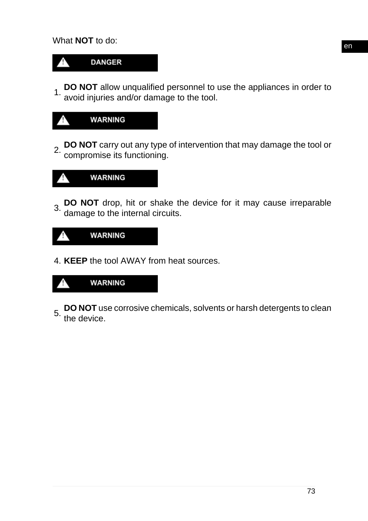

1. **DO NOT** allow unqualified personnel to use the appliances in order to avoid injuries and/or damage to the tool.



2. **DO NOT** carry out any type of intervention that may damage the tool or compromise its functioning.



3. **DO NOT** drop, hit or shake the device for it may cause irreparable damage to the internal circuits.



4. **KEEP** the tool AWAY from heat sources.



**DO NOT** use corrosive chemicals, solvents or harsh detergents to clean<br>5. the devise the device.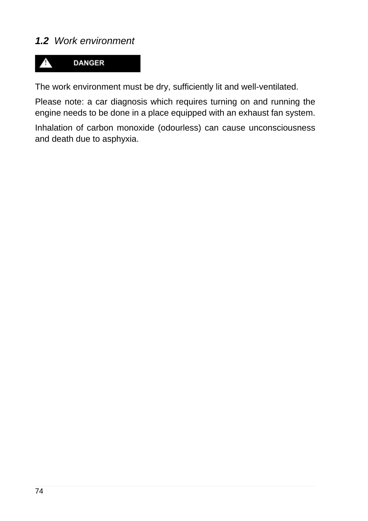# *1.2 Work environment*



The work environment must be dry, sufficiently lit and well-ventilated.

Please note: a car diagnosis which requires turning on and running the engine needs to be done in a place equipped with an exhaust fan system.

Inhalation of carbon monoxide (odourless) can cause unconsciousness and death due to asphyxia.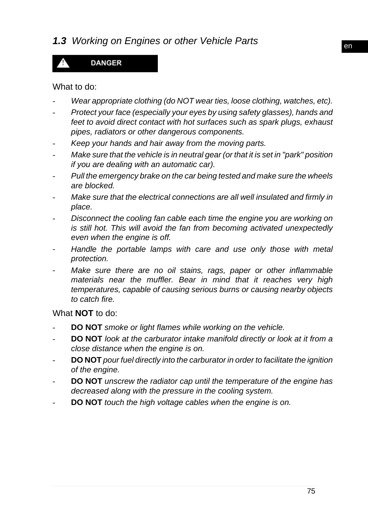# *1.3 Working on Engines or other Vehicle Parts*

# **DANGER**

#### What to do:

- *- Wear appropriate clothing (do NOT wear ties, loose clothing, watches, etc).*
- *- Protect your face (especially your eyes by using safety glasses), hands and feet to avoid direct contact with hot surfaces such as spark plugs, exhaust pipes, radiators or other dangerous components.*
- *- Keep your hands and hair away from the moving parts.*
- *- Make sure that the vehicle is in neutral gear (or that it is set in "park" position if you are dealing with an automatic car).*
- *- Pull the emergency brake on the car being tested and make sure the wheels are blocked.*
- *- Make sure that the electrical connections are all well insulated and firmly in place.*
- *- Disconnect the cooling fan cable each time the engine you are working on is still hot. This will avoid the fan from becoming activated unexpectedly even when the engine is off.*
- *- Handle the portable lamps with care and use only those with metal protection.*
- *Make sure there are no oil stains, rags, paper or other inflammable materials near the muffler. Bear in mind that it reaches very high temperatures, capable of causing serious burns or causing nearby objects to catch fire.*

What **NOT** to do:

- *-* **DO NOT** *smoke or light flames while working on the vehicle.*
- *-* **DO NOT** *look at the carburator intake manifold directly or look at it from a close distance when the engine is on.*
- *-* **DO NOT** *pour fuel directly into the carburator in order to facilitate the ignition of the engine.*
- *-* **DO NOT** *unscrew the radiator cap until the temperature of the engine has decreased along with the pressure in the cooling system.*
- *-* **DO NOT** *touch the high voltage cables when the engine is on.*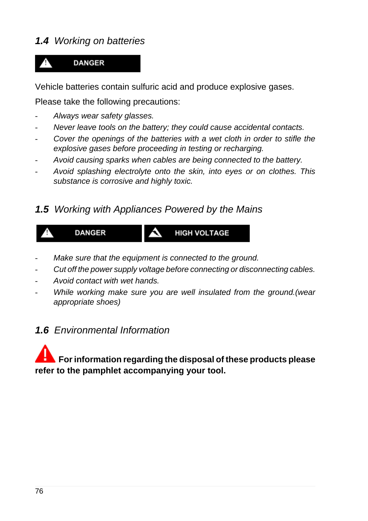# *1.4 Working on batteries*

# **DANGER**

Vehicle batteries contain sulfuric acid and produce explosive gases.

Please take the following precautions:

- *- Always wear safety glasses.*
- *- Never leave tools on the battery; they could cause accidental contacts.*
- *- Cover the openings of the batteries with a wet cloth in order to stifle the explosive gases before proceeding in testing or recharging.*
- *- Avoid causing sparks when cables are being connected to the battery.*
- *- Avoid splashing electrolyte onto the skin, into eyes or on clothes. This substance is corrosive and highly toxic.*

## *1.5 Working with Appliances Powered by the Mains*



- *- Make sure that the equipment is connected to the ground.*
- *- Cut off the power supply voltage before connecting or disconnecting cables.*
- *- Avoid contact with wet hands.*
- *- While working make sure you are well insulated from the ground.(wear appropriate shoes)*

# *1.6 Environmental Information*

# **For information regarding the disposal of these products please refer to the pamphlet accompanying your tool.**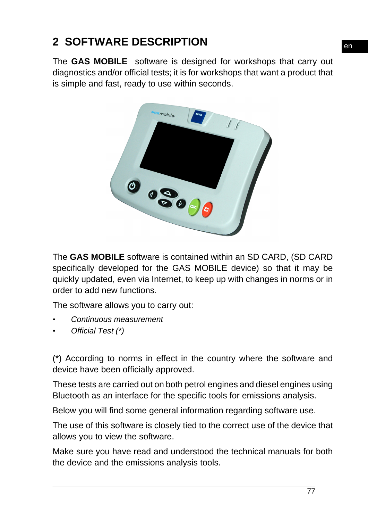# **2 SOFTWARE DESCRIPTION**

The **GAS MOBILE** software is designed for workshops that carry out diagnostics and/or official tests; it is for workshops that want a product that is simple and fast, ready to use within seconds.



The **GAS MOBILE** software is contained within an SD CARD, (SD CARD specifically developed for the GAS MOBILE device) so that it may be quickly updated, even via Internet, to keep up with changes in norms or in order to add new functions.

The software allows you to carry out:

- *• Continuous measurement*
- *• Official Test (\*)*

(\*) According to norms in effect in the country where the software and device have been officially approved.

These tests are carried out on both petrol engines and diesel engines using Bluetooth as an interface for the specific tools for emissions analysis.

Below you will find some general information regarding software use.

The use of this software is closely tied to the correct use of the device that allows you to view the software.

Make sure you have read and understood the technical manuals for both the device and the emissions analysis tools.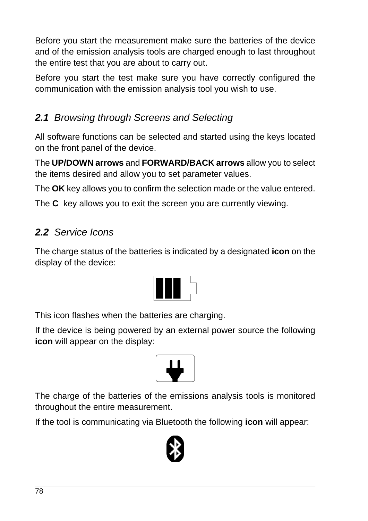Before you start the measurement make sure the batteries of the device and of the emission analysis tools are charged enough to last throughout the entire test that you are about to carry out.

Before you start the test make sure you have correctly configured the communication with the emission analysis tool you wish to use.

# *2.1 Browsing through Screens and Selecting*

All software functions can be selected and started using the keys located on the front panel of the device.

The **UP/DOWN arrows** and **FORWARD/BACK arrows** allow you to select the items desired and allow you to set parameter values.

The **OK** key allows you to confirm the selection made or the value entered.

The **C** key allows you to exit the screen you are currently viewing.

# *2.2 Service Icons*

The charge status of the batteries is indicated by a designated **icon** on the display of the device:



This icon flashes when the batteries are charging.

If the device is being powered by an external power source the following **icon** will appear on the display:



The charge of the batteries of the emissions analysis tools is monitored throughout the entire measurement.

If the tool is communicating via Bluetooth the following **icon** will appear:

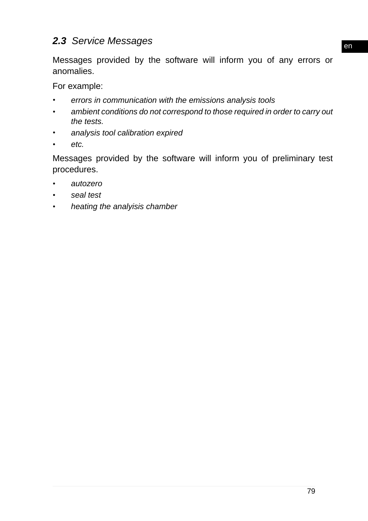# *2.3 Service Messages*

Messages provided by the software will inform you of any errors or anomalies.

For example:

- *• errors in communication with the emissions analysis tools*
- *• ambient conditions do not correspond to those required in order to carry out the tests.*
- *• analysis tool calibration expired*
- *• etc.*

Messages provided by the software will inform you of preliminary test procedures.

- *• autozero*
- *• seal test*
- *• heating the analyisis chamber*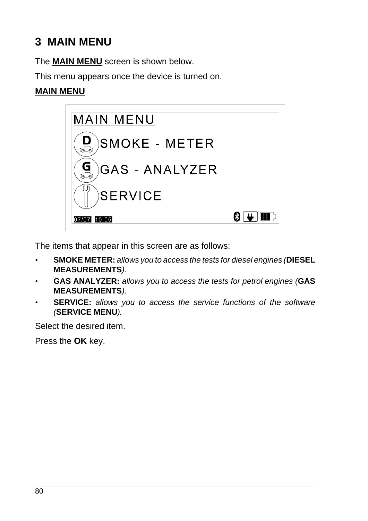# **3 MAIN MENU**

The **MAIN MENU** screen is shown below.

This menu appears once the device is turned on.

## **MAIN MENU**



The items that appear in this screen are as follows:

- *•* **SMOKE METER:** *allows you to access the tests for diesel engines (***DIESEL MEASUREMENTS***).*
- *•* **GAS ANALYZER:** *allows you to access the tests for petrol engines (***GAS MEASUREMENTS***).*
- *•* **SERVICE:** *allows you to access the service functions of the software (***SERVICE MENU***).*

Select the desired item.

Press the **OK** key.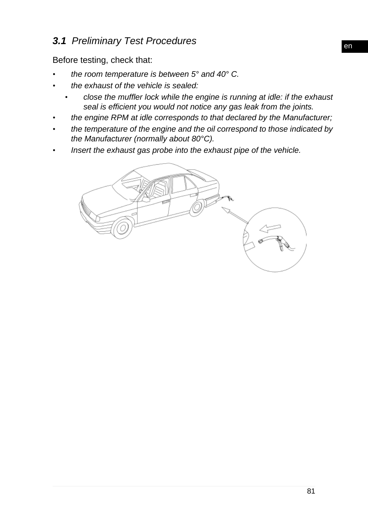# *3.1 Preliminary Test Procedures*

Before testing, check that:

- *• the room temperature is between 5° and 40° C.*
- *• the exhaust of the vehicle is sealed:*
	- *• close the muffler lock while the engine is running at idle: if the exhaust seal is efficient you would not notice any gas leak from the joints.*
- *• the engine RPM at idle corresponds to that declared by the Manufacturer;*
- *• the temperature of the engine and the oil correspond to those indicated by the Manufacturer (normally about 80°C).*
- *• Insert the exhaust gas probe into the exhaust pipe of the vehicle.*

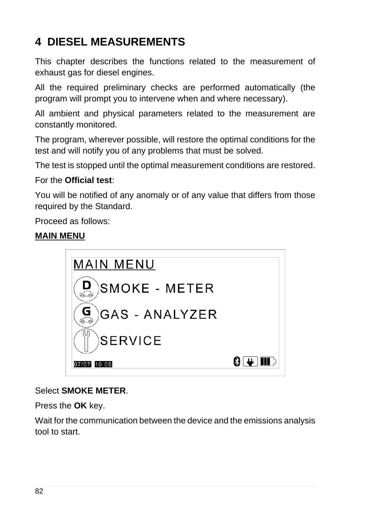# **4 DIESEL MEASUREMENTS**

This chapter describes the functions related to the measurement of exhaust gas for diesel engines.

All the required preliminary checks are performed automatically (the program will prompt you to intervene when and where necessary).

All ambient and physical parameters related to the measurement are constantly monitored.

The program, wherever possible, will restore the optimal conditions for the test and will notify you of any problems that must be solved.

The test is stopped until the optimal measurement conditions are restored.

#### For the **Official test**:

You will be notified of any anomaly or of any value that differs from those required by the Standard.

Proceed as follows:

#### **MAIN MENU**



#### Select **SMOKE METER**.

Press the **OK** key.

Wait for the communication between the device and the emissions analysis tool to start.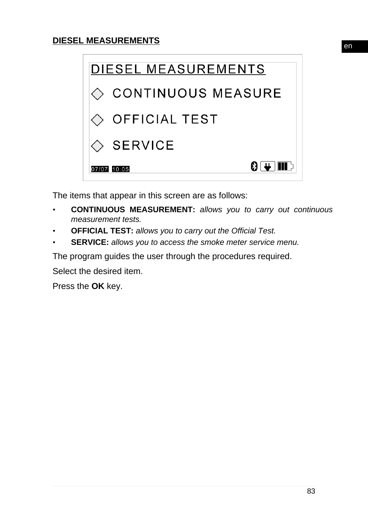

The items that appear in this screen are as follows:

- *•* **CONTINUOUS MEASUREMENT:** *allows you to carry out continuous measurement tests.*
- *•* **OFFICIAL TEST:** *allows you to carry out the Official Test.*
- *•* **SERVICE:** *allows you to access the smoke meter service menu.*

The program guides the user through the procedures required.

Select the desired item.

Press the **OK** key.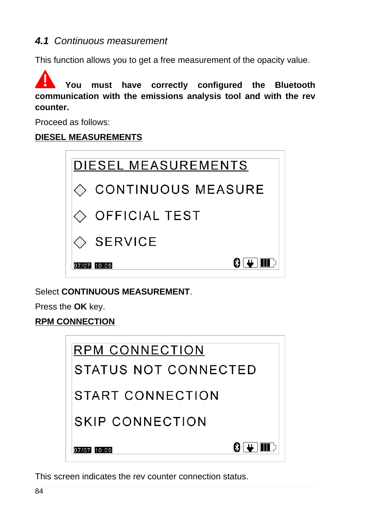# *4.1 Continuous measurement*

This function allows you to get a free measurement of the opacity value.

**You must have correctly configured the Bluetooth communication with the emissions analysis tool and with the rev counter.**

Proceed as follows:

## **DIESEL MEASUREMENTS**



Select **CONTINUOUS MEASUREMENT**.

Press the **OK** key.

**RPM CONNECTION**

| <b>RPM CONNECTION</b>                 |  |
|---------------------------------------|--|
| STATUS NOT CONNECTED                  |  |
| START CONNECTION                      |  |
| SKIP CONNECTION                       |  |
| 8 I <del>U</del> III d<br>07/07 10:05 |  |

This screen indicates the rev counter connection status.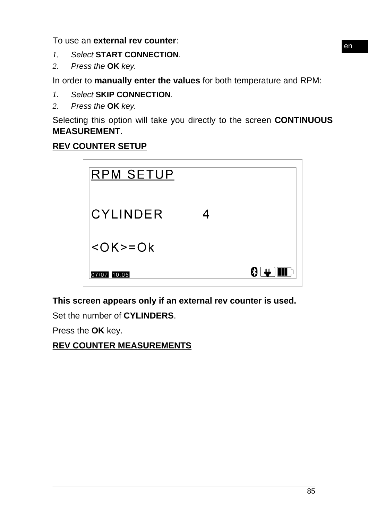To use an **external rev counter**:

- *1. Select* **START CONNECTION***.*
- *2. Press the* **OK** *key.*

In order to **manually enter the values** for both temperature and RPM:

#### *1. Select* **SKIP CONNECTION***.*

*2. Press the* **OK** *key.*

Selecting this option will take you directly to the screen **CONTINUOUS MEASUREMENT**.

## **REV COUNTER SETUP**

| <b>RPM SETUP</b> |       |
|------------------|-------|
| CYLINDER         |       |
| $<$ OK>=Ok       |       |
| 07/07 10:05      | 8 L T |

**This screen appears only if an external rev counter is used.**

Set the number of **CYLINDERS**.

Press the **OK** key.

**REV COUNTER MEASUREMENTS**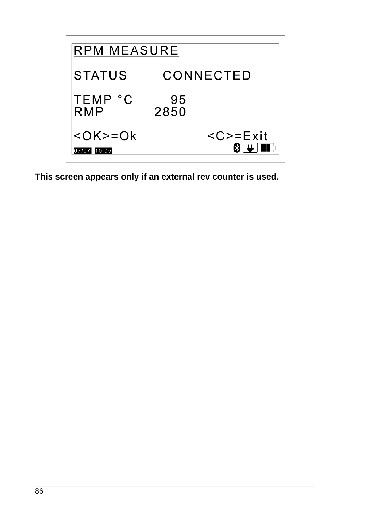

**This screen appears only if an external rev counter is used.**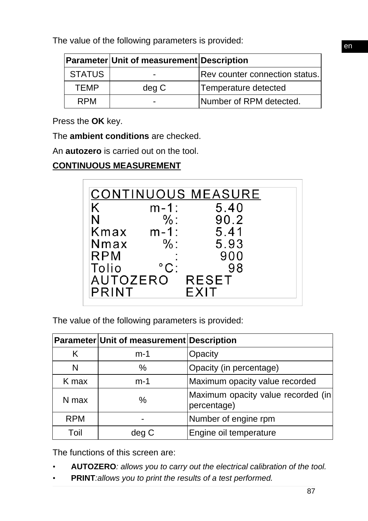|               | <b>Parameter Unit of measurement Description</b> |                                |
|---------------|--------------------------------------------------|--------------------------------|
| <b>STATUS</b> |                                                  | Rev counter connection status. |
| <b>TEMP</b>   | deg C                                            | Temperature detected           |
| <b>RPM</b>    |                                                  | Number of RPM detected.        |

Press the **OK** key.

The **ambient conditions** are checked.

An **autozero** is carried out on the tool.

# **CONTINUOUS MEASUREMENT**

|              |                     | <b>CONTINUOUS MEASURE</b> |  |
|--------------|---------------------|---------------------------|--|
| Κ            | m-1:                | 5.40                      |  |
| N            | $\%$ :              | 90.2                      |  |
| Kmax         | m-1:                | 5.41                      |  |
| Nmax         | $\%$ :              | 5.93                      |  |
| <b>RPM</b>   |                     | 900                       |  |
| Tolio        | $^{\circ}{\rm C}$ : | 98                        |  |
| AUTOZERO     |                     | <b>RESET</b>              |  |
| <b>PRINT</b> |                     | EXIT                      |  |

The value of the following parameters is provided:

|            | Parameter Unit of measurement Description |                                                   |
|------------|-------------------------------------------|---------------------------------------------------|
| K          | $m-1$                                     | Opacity                                           |
| N          | ℅                                         | Opacity (in percentage)                           |
| K max      | $m-1$                                     | Maximum opacity value recorded                    |
| N max      | $\%$                                      | Maximum opacity value recorded (in<br>percentage) |
| <b>RPM</b> |                                           | Number of engine rpm                              |
| Toil       | deg C                                     | Engine oil temperature                            |

The functions of this screen are:

- *•* **AUTOZERO***: allows you to carry out the electrical calibration of the tool.*
- *•* **PRINT***:allows you to print the results of a test performed.*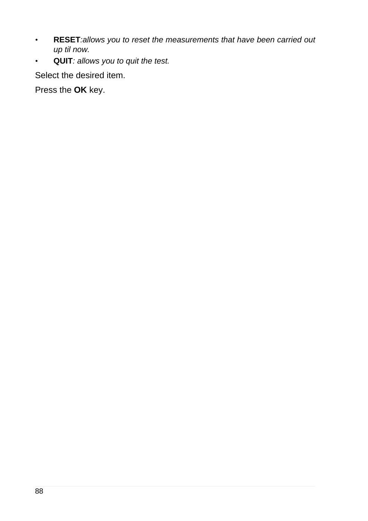- *•* **RESET***:allows you to reset the measurements that have been carried out up til now.*
- *•* **QUIT***: allows you to quit the test.*

Select the desired item.

Press the **OK** key.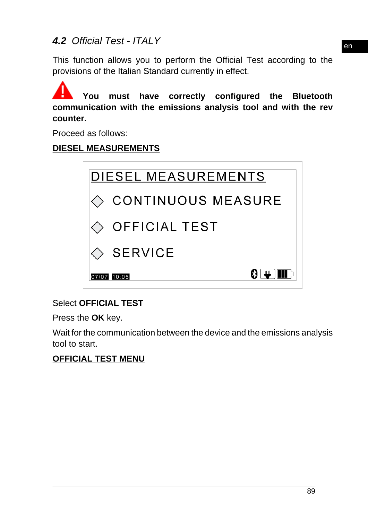# *4.2 Official Test - ITALY*

This function allows you to perform the Official Test according to the provisions of the Italian Standard currently in effect.

**You must have correctly configured the Bluetooth communication with the emissions analysis tool and with the rev counter.**

Proceed as follows:

#### **DIESEL MEASUREMENTS**



#### Select **OFFICIAL TEST**

Press the **OK** key.

Wait for the communication between the device and the emissions analysis tool to start.

#### **OFFICIAL TEST MENU**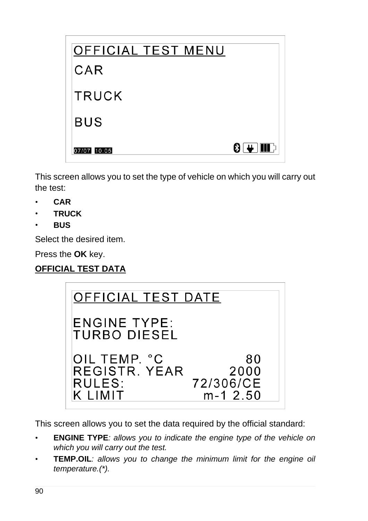| <b>OFFICIAL TEST MENU</b> |                     |
|---------------------------|---------------------|
| CAR                       |                     |
| <b>TRUCK</b>              |                     |
| <b>BUS</b>                |                     |
| 07/07 10:05               | 8 I <del>U</del> II |

This screen allows you to set the type of vehicle on which you will carry out the test:

- *•* **CAR**
- *•* **TRUCK**
- *•* **BUS**

Select the desired item.

Press the **OK** key.

# **OFFICIAL TEST DATA**

| OFFICIAL TEST DATE                                 |                                         |  |
|----------------------------------------------------|-----------------------------------------|--|
| <b>ENGINE TYPE:</b><br>TURBO DIESEL                |                                         |  |
| OIL TEMP. °C<br>REGISTR, YEAR<br>RULES:<br>K LIMIT | 80<br>2000<br>72/306/CE<br>$m-1, 2, 50$ |  |

This screen allows you to set the data required by the official standard:

- *•* **ENGINE TYPE***: allows you to indicate the engine type of the vehicle on which you will carry out the test.*
- *•* **TEMP.OIL***: allows you to change the minimum limit for the engine oil temperature.(\*).*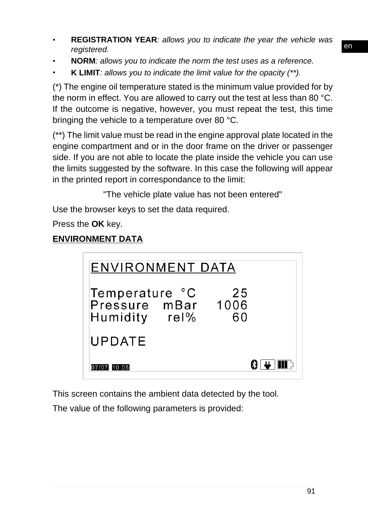- *•* **REGISTRATION YEAR***: allows you to indicate the year the vehicle was registered.*
- *•* **NORM***: allows you to indicate the norm the test uses as a reference.*
- *•* **K LIMIT***: allows you to indicate the limit value for the opacity (\*\*).*

(\*) The engine oil temperature stated is the minimum value provided for by the norm in effect. You are allowed to carry out the test at less than 80 °C. If the outcome is negative, however, you must repeat the test, this time bringing the vehicle to a temperature over 80 °C.

(\*\*) The limit value must be read in the engine approval plate located in the engine compartment and or in the door frame on the driver or passenger side. If you are not able to locate the plate inside the vehicle you can use the limits suggested by the software. In this case the following will appear in the printed report in correspondance to the limit:

"The vehicle plate value has not been entered"

Use the browser keys to set the data required.

Press the **OK** key.

# **ENVIRONMENT DATA**

| <b>ENVIRONMENT DATA</b>                                     |          |  |
|-------------------------------------------------------------|----------|--|
| Temperature °C<br>Pressure mBar 1006<br>$rel\%$<br>Humidity | 25<br>60 |  |
| <b>UPDATE</b>                                               |          |  |
| 07/07 10:05                                                 |          |  |

This screen contains the ambient data detected by the tool.

The value of the following parameters is provided: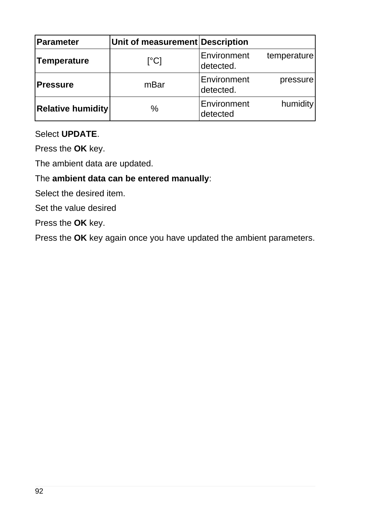| <b>Parameter</b>         | Unit of measurement Description |                          |             |
|--------------------------|---------------------------------|--------------------------|-------------|
| Temperature              | [°C]                            | Environment<br>detected. | temperature |
| <b>Pressure</b>          | mBar                            | Environment<br>detected. | pressure    |
| <b>Relative humidity</b> | $\%$                            | Environment<br>detected  | humidity    |

#### Select **UPDATE**.

Press the **OK** key.

The ambient data are updated.

#### The **ambient data can be entered manually**:

Select the desired item.

Set the value desired

Press the **OK** key.

Press the **OK** key again once you have updated the ambient parameters.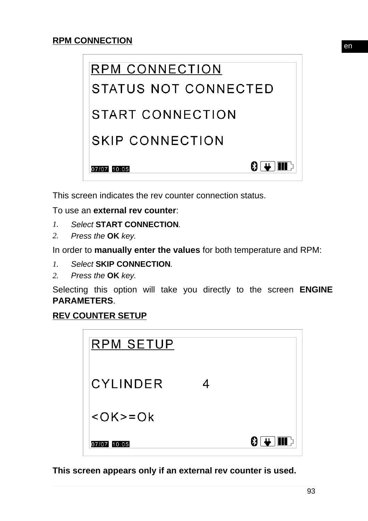

This screen indicates the rev counter connection status.

To use an **external rev counter**:

- *1. Select* **START CONNECTION***.*
- *2. Press the* **OK** *key.*

In order to **manually enter the values** for both temperature and RPM:

- *1. Select* **SKIP CONNECTION***.*
- *2. Press the* **OK** *key.*

Selecting this option will take you directly to the screen **ENGINE PARAMETERS**.

#### **REV COUNTER SETUP**



**This screen appears only if an external rev counter is used.**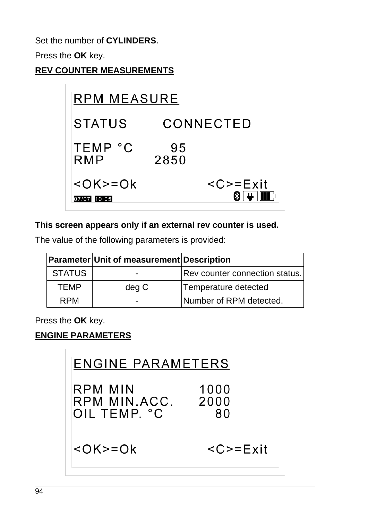Set the number of **CYLINDERS**.

Press the **OK** key.

**REV COUNTER MEASUREMENTS**



## **This screen appears only if an external rev counter is used.**

The value of the following parameters is provided:

|               | <b>Parameter Unit of measurement Description</b> |                                |
|---------------|--------------------------------------------------|--------------------------------|
| <b>STATUS</b> | -                                                | Rev counter connection status. |
| <b>TEMP</b>   | deg C                                            | Temperature detected           |
| <b>RPM</b>    | $\overline{\phantom{0}}$                         | Number of RPM detected.        |

Press the **OK** key.

# **ENGINE PARAMETERS**

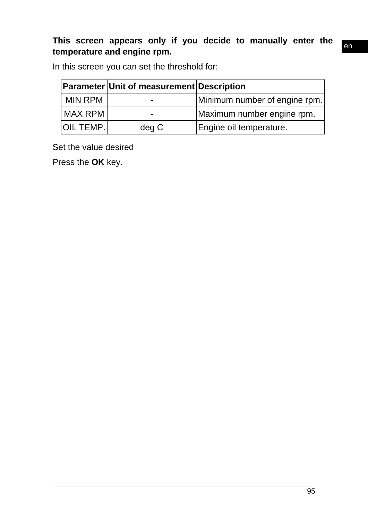## **This screen appears only if you decide to manually enter the temperature and engine rpm.**

In this screen you can set the threshold for:

|                | <b>Parameter Unit of measurement Description</b> |                               |
|----------------|--------------------------------------------------|-------------------------------|
| <b>MIN RPM</b> |                                                  | Minimum number of engine rpm. |
| MAX RPM        | $\overline{\phantom{0}}$                         | Maximum number engine rpm.    |
| IOIL TEMP.I    | deg C                                            | Engine oil temperature.       |

Set the value desired

Press the **OK** key.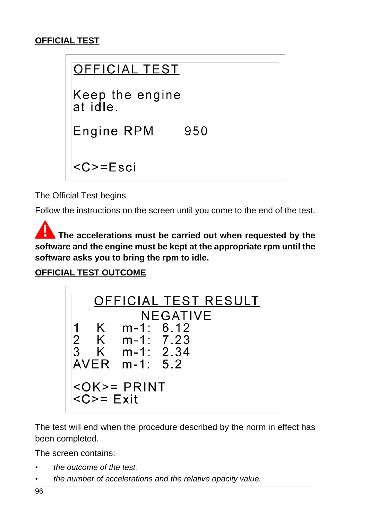## **OFFICIAL TEST**



The Official Test begins

Follow the instructions on the screen until you come to the end of the test.

**The accelerations must be carried out when requested by the software and the engine must be kept at the appropriate rpm until the software asks you to bring the rpm to idle.**

**OFFICIAL TEST OUTCOME**



The test will end when the procedure described by the norm in effect has been completed.

The screen contains:

- *• the outcome of the test.*
- *• the number of accelerations and the relative opacity value.*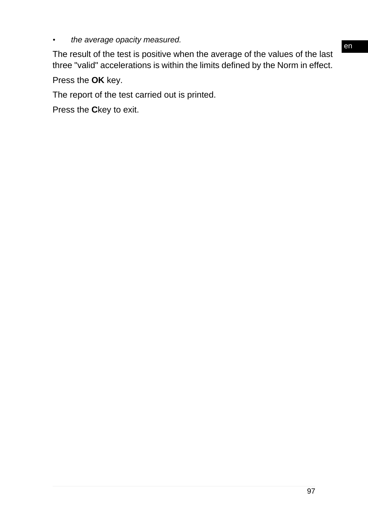*• the average opacity measured.*

The result of the test is positive when the average of the values of the last three "valid" accelerations is within the limits defined by the Norm in effect.

Press the **OK** key.

The report of the test carried out is printed.

Press the **C**key to exit.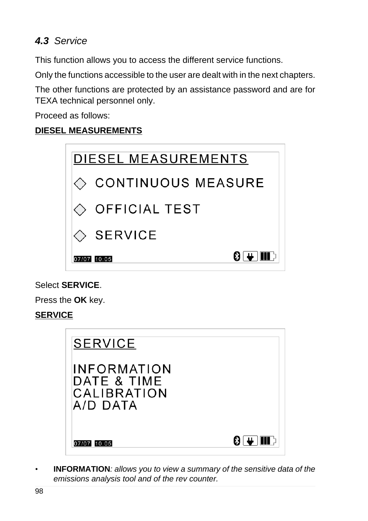# *4.3 Service*

This function allows you to access the different service functions.

Only the functions accessible to the user are dealt with in the next chapters.

The other functions are protected by an assistance password and are for TEXA technical personnel only.

Proceed as follows:

## **DIESEL MEASUREMENTS**



## Select **SERVICE**.

Press the **OK** key.

## **SERVICE**

| <b>SERVICE</b>                                               |  |
|--------------------------------------------------------------|--|
| <b>INFORMATION</b><br>DATE & TIME<br>CALIBRATION<br>A/D DATA |  |
| 07/07 10:05                                                  |  |

*•* **INFORMATION***: allows you to view a summary of the sensitive data of the emissions analysis tool and of the rev counter.*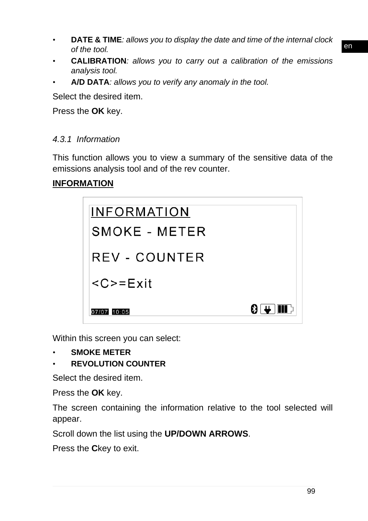- *•* **DATE & TIME***: allows you to display the date and time of the internal clock of the tool.*
- *•* **CALIBRATION***: allows you to carry out a calibration of the emissions analysis tool.*
- *•* **A/D DATA***: allows you to verify any anomaly in the tool.*

Select the desired item.

Press the **OK** key.

#### *4.3.1 Information*

This function allows you to view a summary of the sensitive data of the emissions analysis tool and of the rev counter.

#### **INFORMATION**

| <b>INFORMATION</b>                 |                         |
|------------------------------------|-------------------------|
| SMOKE - METER                      |                         |
| REV - COUNTER                      |                         |
| $\langle C \rangle = E \times i t$ |                         |
| 07/07 10:05                        | 8 I <del>u</del> IIII d |

Within this screen you can select:

- *•* **SMOKE METER**
- *•* **REVOLUTION COUNTER**

Select the desired item.

Press the **OK** key.

The screen containing the information relative to the tool selected will appear.

Scroll down the list using the **UP/DOWN ARROWS**.

Press the **C**key to exit.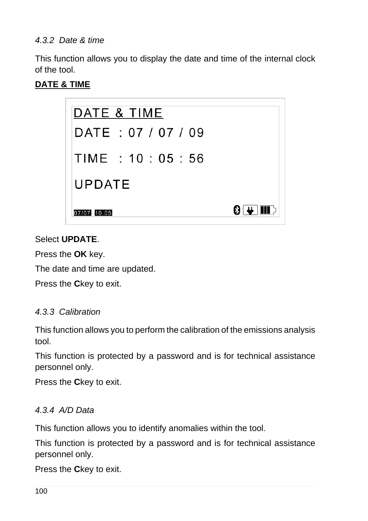#### *4.3.2 Date & time*

This function allows you to display the date and time of the internal clock of the tool.

#### **DATE & TIME**



#### Select **UPDATE**.

Press the **OK** key.

The date and time are updated.

Press the **C**key to exit.

#### *4.3.3 Calibration*

This function allows you to perform the calibration of the emissions analysis tool.

This function is protected by a password and is for technical assistance personnel only.

Press the **C**key to exit.

#### *4.3.4 A/D Data*

This function allows you to identify anomalies within the tool.

This function is protected by a password and is for technical assistance personnel only.

Press the **C**key to exit.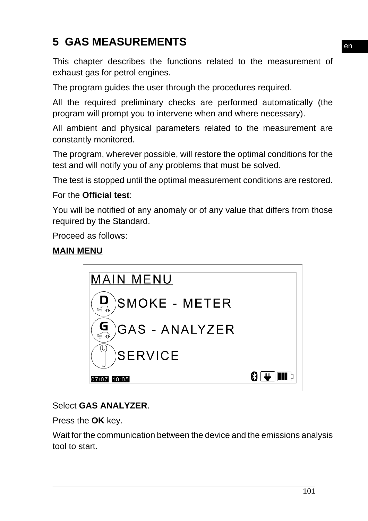# **5 GAS MEASUREMENTS**

This chapter describes the functions related to the measurement of exhaust gas for petrol engines.

The program guides the user through the procedures required.

All the required preliminary checks are performed automatically (the program will prompt you to intervene when and where necessary).

All ambient and physical parameters related to the measurement are constantly monitored.

The program, wherever possible, will restore the optimal conditions for the test and will notify you of any problems that must be solved.

The test is stopped until the optimal measurement conditions are restored.

### For the **Official test**:

You will be notified of any anomaly or of any value that differs from those required by the Standard.

Proceed as follows:

#### **MAIN MENU**



## Select **GAS ANALYZER**.

Press the **OK** key.

Wait for the communication between the device and the emissions analysis tool to start.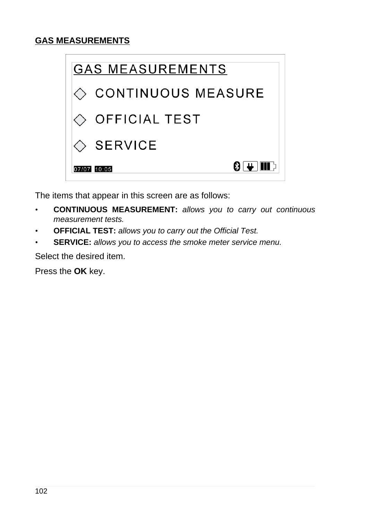

The items that appear in this screen are as follows:

- *•* **CONTINUOUS MEASUREMENT:** *allows you to carry out continuous measurement tests.*
- *•* **OFFICIAL TEST:** *allows you to carry out the Official Test.*
- *•* **SERVICE:** *allows you to access the smoke meter service menu.*

Select the desired item.

Press the **OK** key.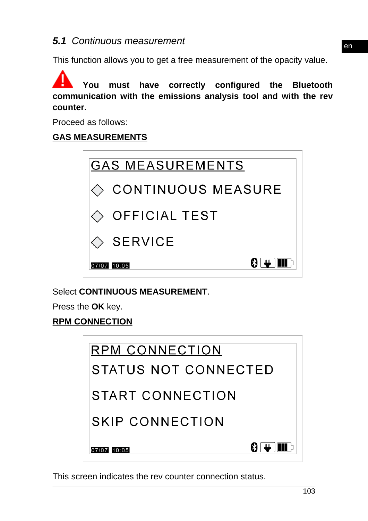# *5.1 Continuous measurement*

This function allows you to get a free measurement of the opacity value.

**You must have correctly configured the Bluetooth communication with the emissions analysis tool and with the rev counter.**

Proceed as follows:

#### **GAS MEASUREMENTS**



Select **CONTINUOUS MEASUREMENT**.

Press the **OK** key.

#### **RPM CONNECTION**

| RPM CONNECTION         |  |  |
|------------------------|--|--|
| STATUS NOT CONNECTED   |  |  |
| START CONNECTION       |  |  |
| SKIP CONNECTION        |  |  |
| 8 E HIL<br>07/07 10:05 |  |  |

This screen indicates the rev counter connection status.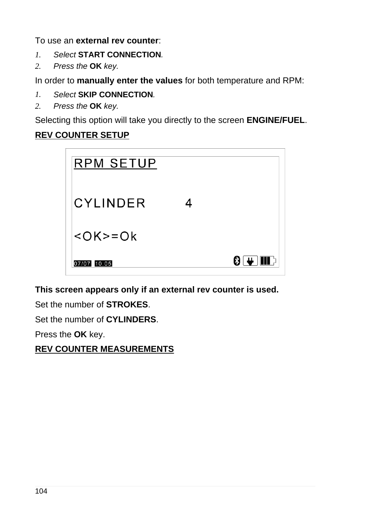To use an **external rev counter**:

- *1. Select* **START CONNECTION***.*
- *2. Press the* **OK** *key.*

In order to **manually enter the values** for both temperature and RPM:

- *1. Select* **SKIP CONNECTION***.*
- *2. Press the* **OK** *key.*

Selecting this option will take you directly to the screen **ENGINE/FUEL**.

## **REV COUNTER SETUP**



**This screen appears only if an external rev counter is used.**

Set the number of **STROKES**.

Set the number of **CYLINDERS**.

Press the **OK** key.

**REV COUNTER MEASUREMENTS**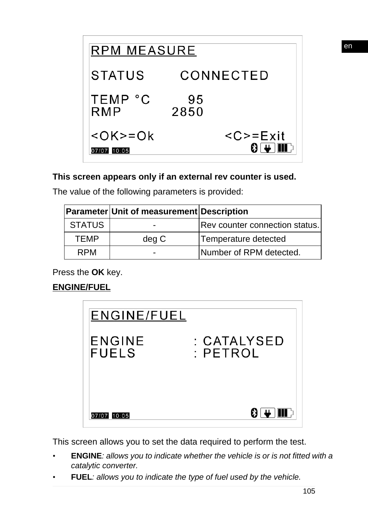

#### **This screen appears only if an external rev counter is used.**

The value of the following parameters is provided:

|               | <b>Parameter Unit of measurement Description</b> |                                |
|---------------|--------------------------------------------------|--------------------------------|
| <b>STATUS</b> | $\blacksquare$                                   | Rev counter connection status. |
| <b>TEMP</b>   | deg C                                            | Temperature detected           |
| <b>RPM</b>    | $\blacksquare$                                   | Number of RPM detected.        |

Press the **OK** key.

# **ENGINE/FUEL**



This screen allows you to set the data required to perform the test.

- *•* **ENGINE***: allows you to indicate whether the vehicle is or is not fitted with a catalytic converter.*
- *•* **FUEL***: allows you to indicate the type of fuel used by the vehicle.*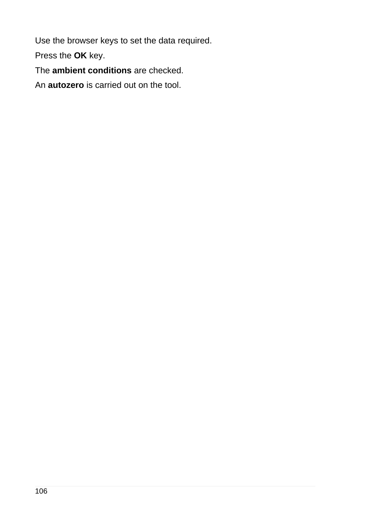Use the browser keys to set the data required.

Press the **OK** key.

The **ambient conditions** are checked.

An **autozero** is carried out on the tool.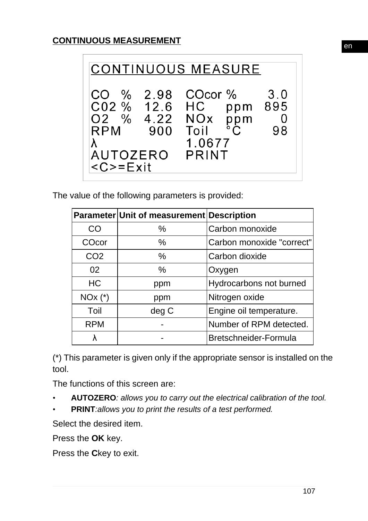

The value of the following parameters is provided:

|                 | Parameter Unit of measurement Description |                           |
|-----------------|-------------------------------------------|---------------------------|
| CO              | $\frac{0}{0}$                             | Carbon monoxide           |
| COcor           | $\%$                                      | Carbon monoxide "correct" |
| CO <sub>2</sub> | $\frac{0}{0}$                             | Carbon dioxide            |
| 02              | $\%$                                      | Oxygen                    |
| <b>HC</b>       | ppm                                       | Hydrocarbons not burned   |
| $NOx$ $(*)$     | ppm                                       | Nitrogen oxide            |
| Toil            | deg C                                     | Engine oil temperature.   |
| <b>RPM</b>      |                                           | Number of RPM detected.   |
|                 |                                           | Bretschneider-Formula     |

(\*) This parameter is given only if the appropriate sensor is installed on the tool.

The functions of this screen are:

- *•* **AUTOZERO***: allows you to carry out the electrical calibration of the tool.*
- *•* **PRINT***:allows you to print the results of a test performed.*

Select the desired item.

Press the **OK** key.

Press the **C**key to exit.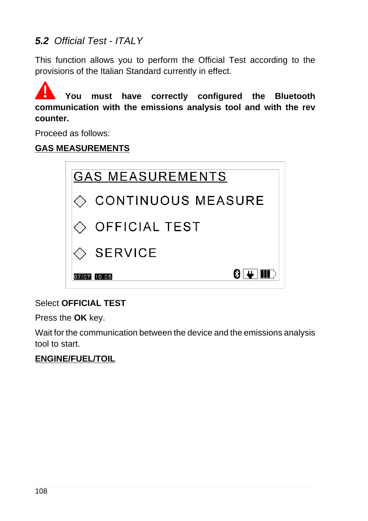# *5.2 Official Test - ITALY*

This function allows you to perform the Official Test according to the provisions of the Italian Standard currently in effect.

**You must have correctly configured the Bluetooth communication with the emissions analysis tool and with the rev counter.**

Proceed as follows:

### **GAS MEASUREMENTS**



## Select **OFFICIAL TEST**

Press the **OK** key.

Wait for the communication between the device and the emissions analysis tool to start.

#### **ENGINE/FUEL/TOIL**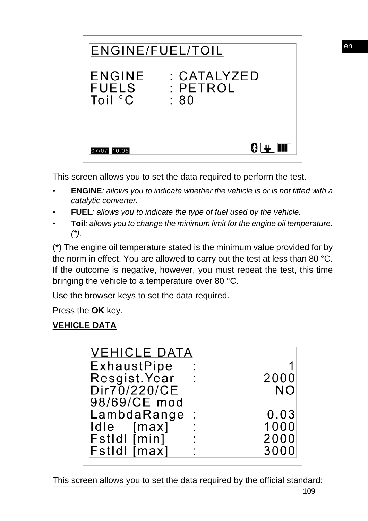

This screen allows you to set the data required to perform the test.

- *•* **ENGINE***: allows you to indicate whether the vehicle is or is not fitted with a catalytic converter.*
- *•* **FUEL***: allows you to indicate the type of fuel used by the vehicle.*
- *•* **Toil***: allows you to change the minimum limit for the engine oil temperature. (\*).*

(\*) The engine oil temperature stated is the minimum value provided for by the norm in effect. You are allowed to carry out the test at less than 80 °C. If the outcome is negative, however, you must repeat the test, this time bringing the vehicle to a temperature over 80 °C.

Use the browser keys to set the data required.

Press the **OK** key.

## **VEHICLE DATA**

| <b>VEHICLE DATA</b> |                      |           |
|---------------------|----------------------|-----------|
| ExhaustPipe         |                      |           |
| Resgist Year        |                      | 2000      |
| Dir70/220/CE        |                      | <b>NO</b> |
| 98/69/CE mod        |                      |           |
| LambdaRange         | $\ddot{\phantom{1}}$ | 0.03      |
| Idle [max]          |                      | 1000      |
| $FstIdI$ $[min]$    |                      | 2000      |
| FstIdl [max]        |                      | 3000      |
|                     |                      |           |

This screen allows you to set the data required by the official standard: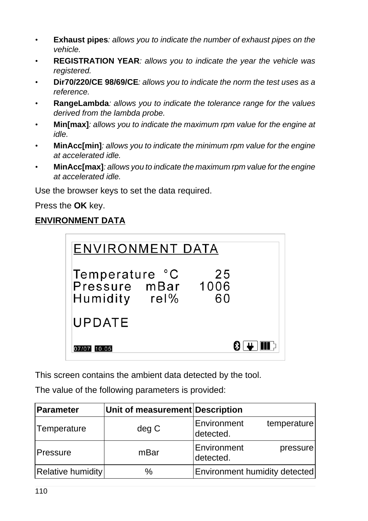- *•* **Exhaust pipes***: allows you to indicate the number of exhaust pipes on the vehicle.*
- *•* **REGISTRATION YEAR***: allows you to indicate the year the vehicle was registered.*
- *•* **Dir70/220/CE 98/69/CE***: allows you to indicate the norm the test uses as a reference.*
- *•* **RangeLambda***: allows you to indicate the tolerance range for the values derived from the lambda probe.*
- *•* **Min[max]***: allows you to indicate the maximum rpm value for the engine at idle.*
- *•* **MinAcc[min]***: allows you to indicate the minimum rpm value for the engine at accelerated idle.*
- *•* **MinAcc[max]***: allows you to indicate the maximum rpm value for the engine at accelerated idle.*

Use the browser keys to set the data required.

Press the **OK** key.

# **ENVIRONMENT DATA**

| <b>ENVIRONMENT DATA</b>                               |          |  |
|-------------------------------------------------------|----------|--|
| Temperature °C<br>Pressure mBar 1006<br>Humidity rel% | 25<br>60 |  |
| <b>UPDATE</b>                                         |          |  |
| 07/07 10:05                                           |          |  |

This screen contains the ambient data detected by the tool.

The value of the following parameters is provided:

| <b>Parameter</b>  | Unit of measurement Description |                                         |
|-------------------|---------------------------------|-----------------------------------------|
| Temperature       | deg C                           | Environment<br>temperature<br>detected. |
| Pressure          | mBar                            | Environment<br>pressure<br>detected.    |
| Relative humidity | $\%$                            | Environment humidity detected           |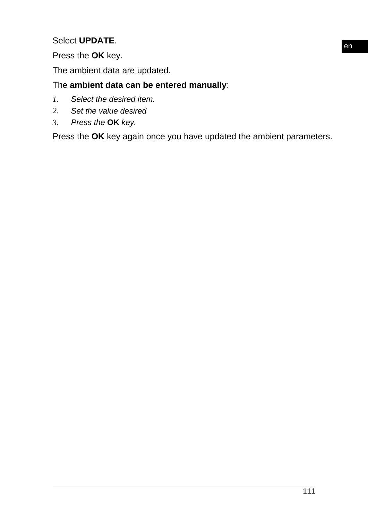#### Select **UPDATE**.

## Press the **OK** key.

The ambient data are updated.

## The **ambient data can be entered manually**:

- *1. Select the desired item.*
- *2. Set the value desired*
- *3. Press the* **OK** *key.*

Press the **OK** key again once you have updated the ambient parameters.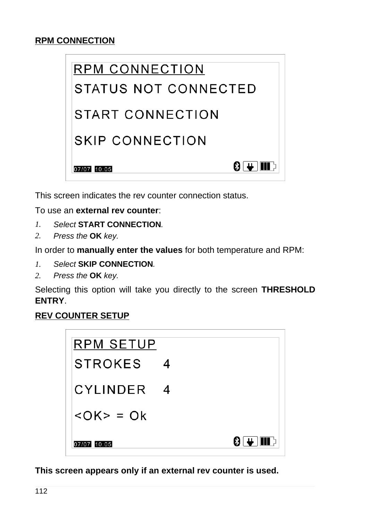#### **RPM CONNECTION**



This screen indicates the rev counter connection status.

To use an **external rev counter**:

- *1. Select* **START CONNECTION***.*
- *2. Press the* **OK** *key.*

In order to **manually enter the values** for both temperature and RPM:

- *1. Select* **SKIP CONNECTION***.*
- *2. Press the* **OK** *key.*

Selecting this option will take you directly to the screen **THRESHOLD ENTRY**.

#### **REV COUNTER SETUP**



**This screen appears only if an external rev counter is used.**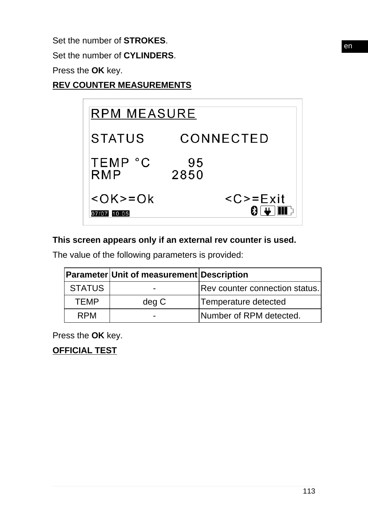Set the number of **STROKES**.

Set the number of **CYLINDERS**.

Press the **OK** key.

**REV COUNTER MEASUREMENTS**



### **This screen appears only if an external rev counter is used.**

The value of the following parameters is provided:

|               | Parameter Unit of measurement Description |                                       |
|---------------|-------------------------------------------|---------------------------------------|
| <b>STATUS</b> | $\blacksquare$                            | <b>Rev counter connection status.</b> |
| <b>TEMP</b>   | deg C                                     | Temperature detected                  |
| <b>RPM</b>    | -                                         | Number of RPM detected.               |

Press the **OK** key.

**OFFICIAL TEST**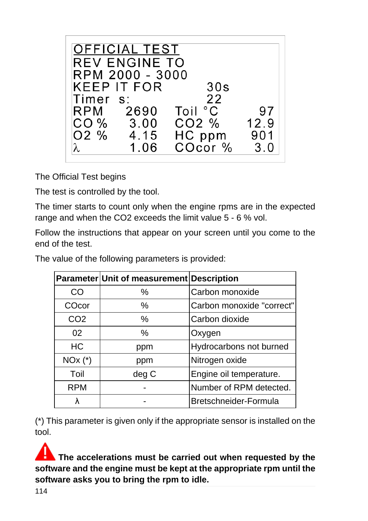| <b>OFFICIAL TEST</b><br><b>REV ENGINE TO</b><br>RPM 2000 - 3000 |                                                    |              |
|-----------------------------------------------------------------|----------------------------------------------------|--------------|
|                                                                 | 30s                                                |              |
|                                                                 |                                                    |              |
|                                                                 | Toil °C                                            | 97           |
|                                                                 | CO2 %                                              | 12.9         |
| 4.15                                                            |                                                    | 901          |
| 1.06                                                            | COcor %                                            | 3.0          |
|                                                                 | <b>KEEP IT FOR</b><br>Timer s:<br>RPM 2690<br>3.00 | 22<br>HC ppm |

The Official Test begins

The test is controlled by the tool.

The timer starts to count only when the engine rpms are in the expected range and when the CO2 exceeds the limit value 5 - 6 % vol.

Follow the instructions that appear on your screen until you come to the end of the test.

The value of the following parameters is provided:

|                 | Parameter Unit of measurement Description |                           |
|-----------------|-------------------------------------------|---------------------------|
| CO              | $\frac{0}{0}$                             | Carbon monoxide           |
| COcor           | $\%$                                      | Carbon monoxide "correct" |
| CO <sub>2</sub> | $\frac{0}{0}$                             | Carbon dioxide            |
| 02              | $\%$                                      | Oxygen                    |
| <b>HC</b>       | ppm                                       | Hydrocarbons not burned   |
| $NOx$ $(*)$     | ppm                                       | Nitrogen oxide            |
| Toil            | deg C                                     | Engine oil temperature.   |
| <b>RPM</b>      |                                           | Number of RPM detected.   |
|                 |                                           | Bretschneider-Formula     |

(\*) This parameter is given only if the appropriate sensor is installed on the tool.

**The accelerations must be carried out when requested by the software and the engine must be kept at the appropriate rpm until the software asks you to bring the rpm to idle.**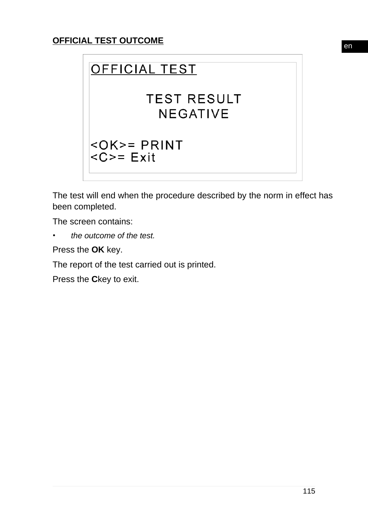

The test will end when the procedure described by the norm in effect has been completed.

The screen contains:

*• the outcome of the test.*

Press the **OK** key.

The report of the test carried out is printed.

Press the **C**key to exit.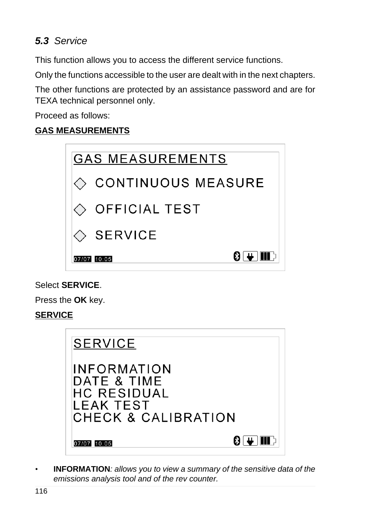# *5.3 Service*

This function allows you to access the different service functions.

Only the functions accessible to the user are dealt with in the next chapters.

The other functions are protected by an assistance password and are for TEXA technical personnel only.

Proceed as follows:

### **GAS MEASUREMENTS**



#### Select **SERVICE**.

Press the **OK** key.

## **SERVICE**

| <b>SERVICE</b>                                                                       |  |
|--------------------------------------------------------------------------------------|--|
| <b>INFORMATION</b><br>DATE & TIME<br>HC RESIDUAL<br>LEAK TEST<br>CHECK & CALIBRATION |  |
| 07/07 10:05                                                                          |  |

*•* **INFORMATION***: allows you to view a summary of the sensitive data of the emissions analysis tool and of the rev counter.*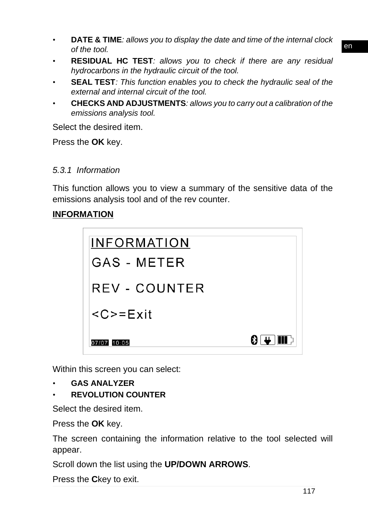- *•* **DATE & TIME***: allows you to display the date and time of the internal clock of the tool.*
- *•* **RESIDUAL HC TEST***: allows you to check if there are any residual hydrocarbons in the hydraulic circuit of the tool.*
- *•* **SEAL TEST***: This function enables you to check the hydraulic seal of the external and internal circuit of the tool.*
- *•* **CHECKS AND ADJUSTMENTS***: allows you to carry out a calibration of the emissions analysis tool.*

Select the desired item.

Press the **OK** key.

#### *5.3.1 Information*

This function allows you to view a summary of the sensitive data of the emissions analysis tool and of the rev counter.

#### **INFORMATION**

| <b>INFORMATION</b>          |           |
|-----------------------------|-----------|
| GAS - METER                 |           |
| REV - COUNTER               |           |
| $\langle C \rangle = E$ xit |           |
| 07/07 10:05                 | 8 L HII P |

Within this screen you can select:

- *•* **GAS ANALYZER**
- *•* **REVOLUTION COUNTER**

Select the desired item.

Press the **OK** key.

The screen containing the information relative to the tool selected will appear.

Scroll down the list using the **UP/DOWN ARROWS**.

Press the **C**key to exit.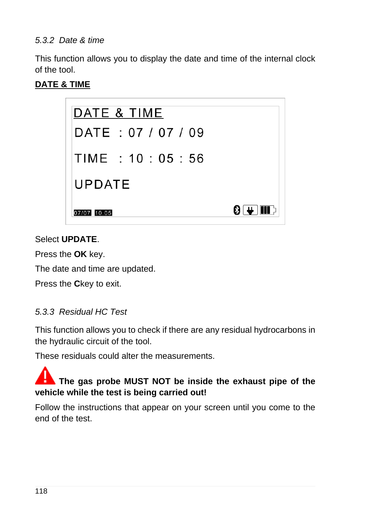#### *5.3.2 Date & time*

This function allows you to display the date and time of the internal clock of the tool.

#### **DATE & TIME**



#### Select **UPDATE**.

Press the **OK** key.

The date and time are updated.

Press the **C**key to exit.

#### *5.3.3 Residual HC Test*

This function allows you to check if there are any residual hydrocarbons in the hydraulic circuit of the tool.

These residuals could alter the measurements.

# **The gas probe MUST NOT be inside the exhaust pipe of the vehicle while the test is being carried out!**

Follow the instructions that appear on your screen until you come to the end of the test.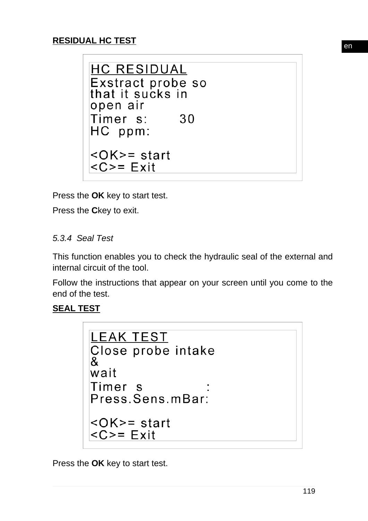## **RESIDUAL HC TEST**

```
HC RESIDUAL
Exstract probe so
that it sucks in
open air
Timer s:
            30
HC ppm:
<OK>=start
<C>= Exit
```
Press the **OK** key to start test.

Press the **C**key to exit.

#### *5.3.4 Seal Test*

This function enables you to check the hydraulic seal of the external and internal circuit of the tool.

Follow the instructions that appear on your screen until you come to the end of the test.

#### **SEAL TEST**

```
LEAK TEST
Close probe intake
&
wait
Timer s
Press.Sens.mBar:
<OK>=start
<C>= Exit
```
Press the **OK** key to start test.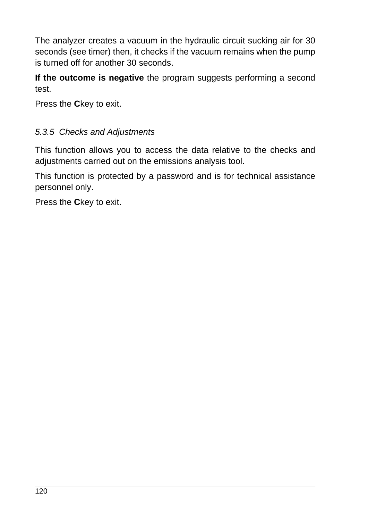The analyzer creates a vacuum in the hydraulic circuit sucking air for 30 seconds (see timer) then, it checks if the vacuum remains when the pump is turned off for another 30 seconds.

**If the outcome is negative** the program suggests performing a second test.

Press the **C**key to exit.

### *5.3.5 Checks and Adjustments*

This function allows you to access the data relative to the checks and adjustments carried out on the emissions analysis tool.

This function is protected by a password and is for technical assistance personnel only.

Press the **C**key to exit.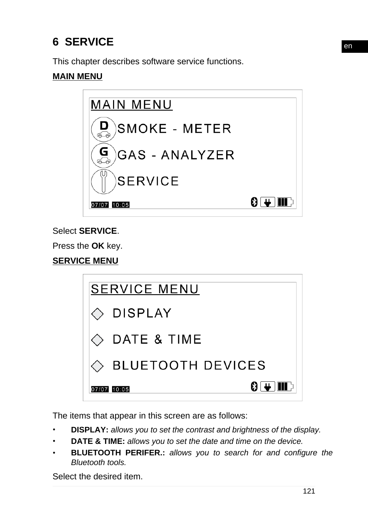# **6 SERVICE**

This chapter describes software service functions.

### **MAIN MENU**



Select **SERVICE**.

Press the **OK** key.

**SERVICE MENU**

| <b>SERVICE MENU</b>          |
|------------------------------|
| $\Diamond$ DISPLAY           |
| $\Diamond$ DATE & TIME       |
| $\Diamond$ BLUETOOTH DEVICES |
| 07/07 10:05                  |

The items that appear in this screen are as follows:

- *•* **DISPLAY:** *allows you to set the contrast and brightness of the display.*
- *•* **DATE & TIME:** *allows you to set the date and time on the device.*
- *•* **BLUETOOTH PERIFER.:** *allows you to search for and configure the Bluetooth tools.*

Select the desired item.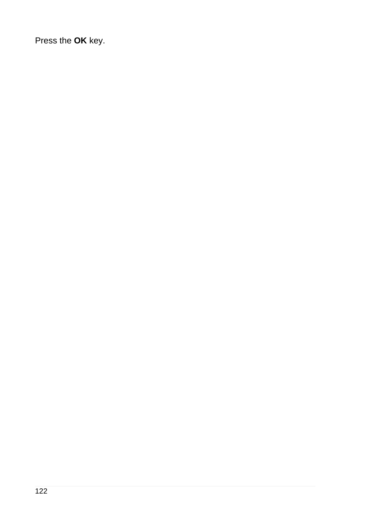Press the **OK** key.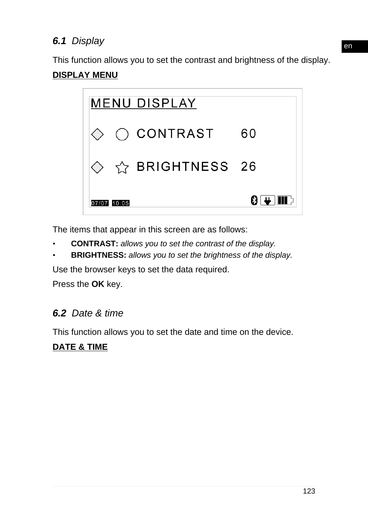# *6.1 Display*

This function allows you to set the contrast and brightness of the display.

## **DISPLAY MENU**



The items that appear in this screen are as follows:

- *•* **CONTRAST:** *allows you to set the contrast of the display.*
- *•* **BRIGHTNESS:** *allows you to set the brightness of the display.*

Use the browser keys to set the data required.

Press the **OK** key.

# *6.2 Date & time*

This function allows you to set the date and time on the device.

## **DATE & TIME**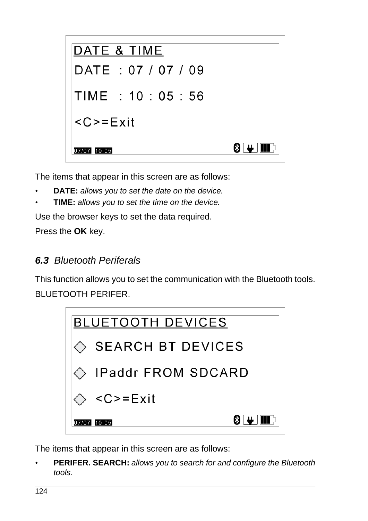

The items that appear in this screen are as follows:

- *•* **DATE:** *allows you to set the date on the device.*
- *•* **TIME:** *allows you to set the time on the device.*

Use the browser keys to set the data required.

Press the **OK** key.

# *6.3 Bluetooth Periferals*

This function allows you to set the communication with the Bluetooth tools. BLUETOOTH PERIFER.



The items that appear in this screen are as follows:

*•* **PERIFER. SEARCH:** *allows you to search for and configure the Bluetooth tools.*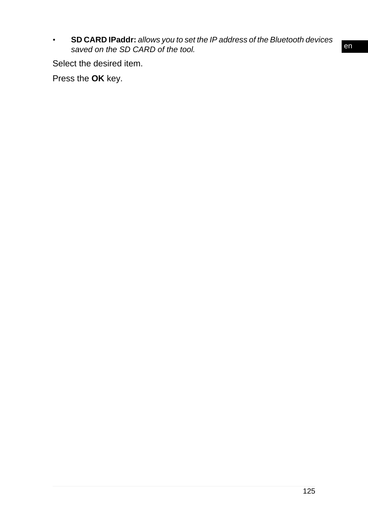*•* **SD CARD IPaddr:** *allows you to set the IP address of the Bluetooth devices saved on the SD CARD of the tool.*

Select the desired item.

Press the **OK** key.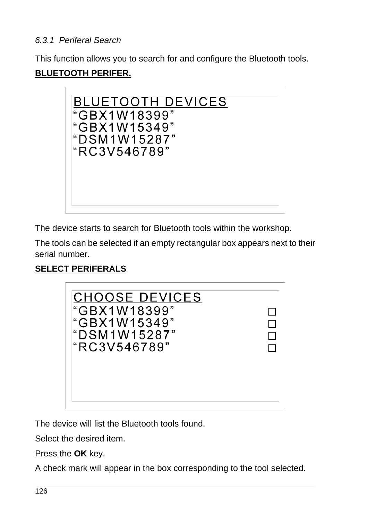### *6.3.1 Periferal Search*

This function allows you to search for and configure the Bluetooth tools. **BLUETOOTH PERIFER.**



The device starts to search for Bluetooth tools within the workshop.

The tools can be selected if an empty rectangular box appears next to their serial number.

# **SELECT PERIFERALS**



The device will list the Bluetooth tools found.

Select the desired item.

Press the **OK** key.

A check mark will appear in the box corresponding to the tool selected.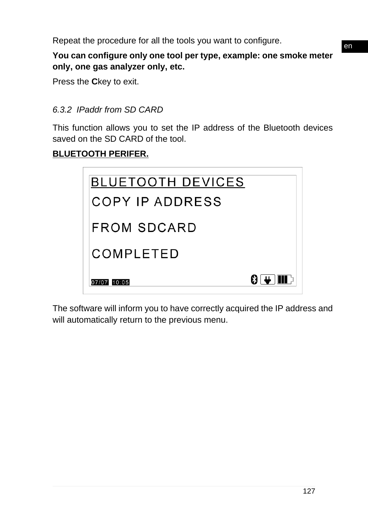Repeat the procedure for all the tools you want to configure.

**You can configure only one tool per type, example: one smoke meter only, one gas analyzer only, etc.**

Press the **C**key to exit.

#### *6.3.2 IPaddr from SD CARD*

This function allows you to set the IP address of the Bluetooth devices saved on the SD CARD of the tool.

### **BLUETOOTH PERIFER.**

| <b>BLUETOOTH DEVICES</b> |
|--------------------------|
| COPY IP ADDRESS          |
| FROM SDCARD              |
| COMPLETED                |
| 8 L H<br>07/07 10:05     |

The software will inform you to have correctly acquired the IP address and will automatically return to the previous menu.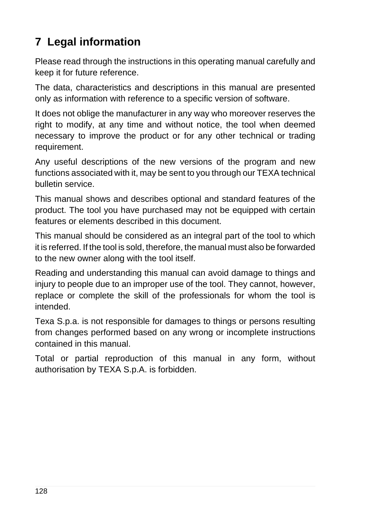# **7 Legal information**

Please read through the instructions in this operating manual carefully and keep it for future reference.

The data, characteristics and descriptions in this manual are presented only as information with reference to a specific version of software.

It does not oblige the manufacturer in any way who moreover reserves the right to modify, at any time and without notice, the tool when deemed necessary to improve the product or for any other technical or trading requirement.

Any useful descriptions of the new versions of the program and new functions associated with it, may be sent to you through our TEXA technical bulletin service.

This manual shows and describes optional and standard features of the product. The tool you have purchased may not be equipped with certain features or elements described in this document.

This manual should be considered as an integral part of the tool to which it is referred. If the tool is sold, therefore, the manual must also be forwarded to the new owner along with the tool itself.

Reading and understanding this manual can avoid damage to things and injury to people due to an improper use of the tool. They cannot, however, replace or complete the skill of the professionals for whom the tool is intended.

Texa S.p.a. is not responsible for damages to things or persons resulting from changes performed based on any wrong or incomplete instructions contained in this manual.

Total or partial reproduction of this manual in any form, without authorisation by TEXA S.p.A. is forbidden.